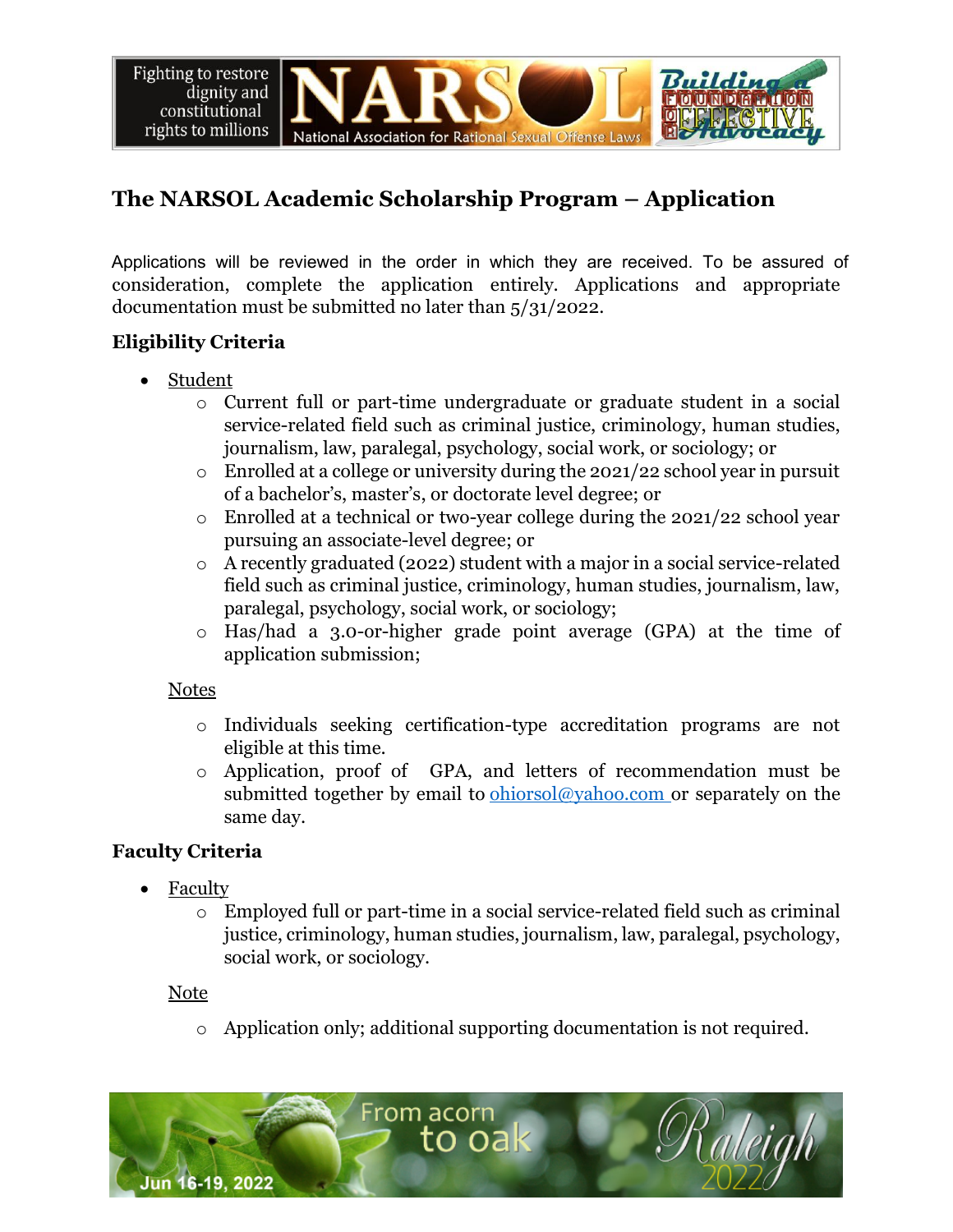**Fighting to restore** dignity and constitutional rights to millions National Association for Rational Sexual Offense Laws

# **The NARSOL Academic Scholarship Program – Application**

Applications will be reviewed in the order in which they are received. To be assured of Applications will be reviewed in the order in which they are received. To be assured of consideration, complete the application entirely. Applications and appropriate documentation must be submitted no later than 5/31/2022.

# **Eligibility Criteria**

- Student
	- o Current full or part-time undergraduate or graduate student in a social service-related field such as criminal justice, criminology, human studies, journalism, law, paralegal, psychology, social work, or sociology; or
	- $\circ$  Enrolled at a college or university during the 2021/22 school year in pursuit of a bachelor's, master's, or doctorate level degree; or
	- o Enrolled at a technical or two-year college during the 2021/22 school year pursuing an associate-level degree; or
	- o A recently graduated (2022) student with a major in a social service-related field such as criminal justice, criminology, human studies, journalism, law, paralegal, psychology, social work, or sociology;
	- o Has/had a 3.0-or-higher grade point average (GPA) at the time of application submission;

#### Notes

- o Individuals seeking certification-type accreditation programs are not eligible at this time.
- o Application, proof of GPA, and letters of recommendation must be submitted together by email to ohiorsol@yahoo.com or separately on the same day.

## **Faculty Criteria**

- Faculty
	- $\circ$  Employed full or part-time in a social service-related field such as criminal justice, criminology, human studies, journalism, law, paralegal, psychology, social work, or sociology.

#### **Note**

o Application only; additional supporting documentation is not required.

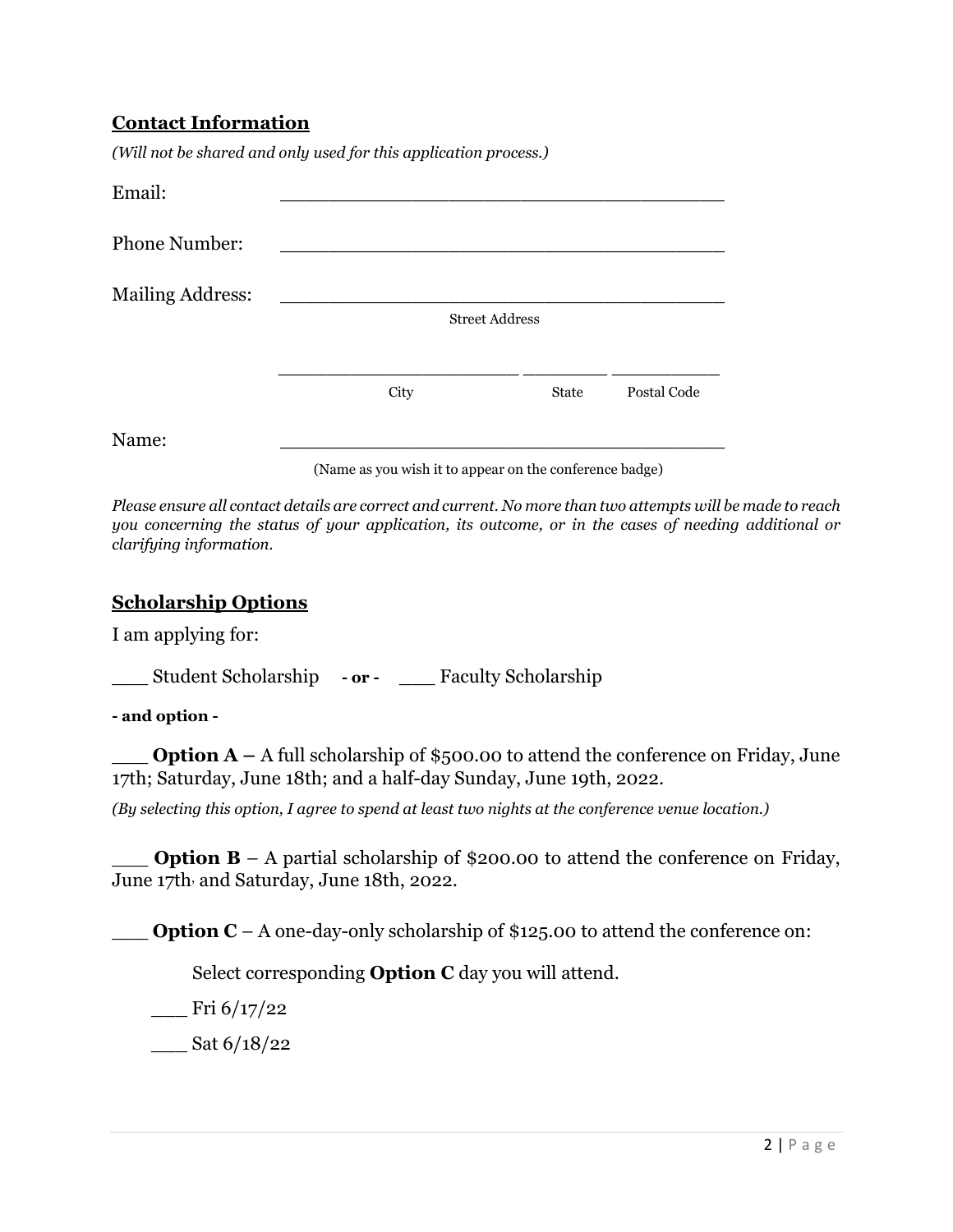#### **Contact Information**

*(Will not be shared and only used for this application process.)* 

| Email:                  |      |                       |                          |             |
|-------------------------|------|-----------------------|--------------------------|-------------|
| <b>Phone Number:</b>    |      |                       |                          |             |
| <b>Mailing Address:</b> |      |                       |                          |             |
|                         |      | <b>Street Address</b> |                          |             |
|                         |      |                       | $\overline{\phantom{a}}$ |             |
|                         | City |                       | <b>State</b>             | Postal Code |
| Name:                   |      |                       |                          |             |

(Name as you wish it to appear on the conference badge)

*Please ensure all contact details are correct and current. No more than two attempts will be made to reach you concerning the status of your application, its outcome, or in the cases of needing additional or clarifying information.* 

#### **Scholarship Options**

I am applying for:

\_\_\_ Student Scholarship **- or -** \_\_\_ Faculty Scholarship

**- and option -**

**Option A** – A full scholarship of \$500.00 to attend the conference on Friday, June 17th; Saturday, June 18th; and a half-day Sunday, June 19th, 2022.

*(By selecting this option, I agree to spend at least two nights at the conference venue location.)* 

**Option B** – A partial scholarship of \$200.00 to attend the conference on Friday, June 17th, and Saturday, June 18th, 2022.

**Option C** – A one-day-only scholarship of \$125.00 to attend the conference on:

Select corresponding **Option C** day you will attend.

 $\frac{\text{Fri } 6}{17/22}$ 

 $\frac{\text{Sat } 6}{18}{22}$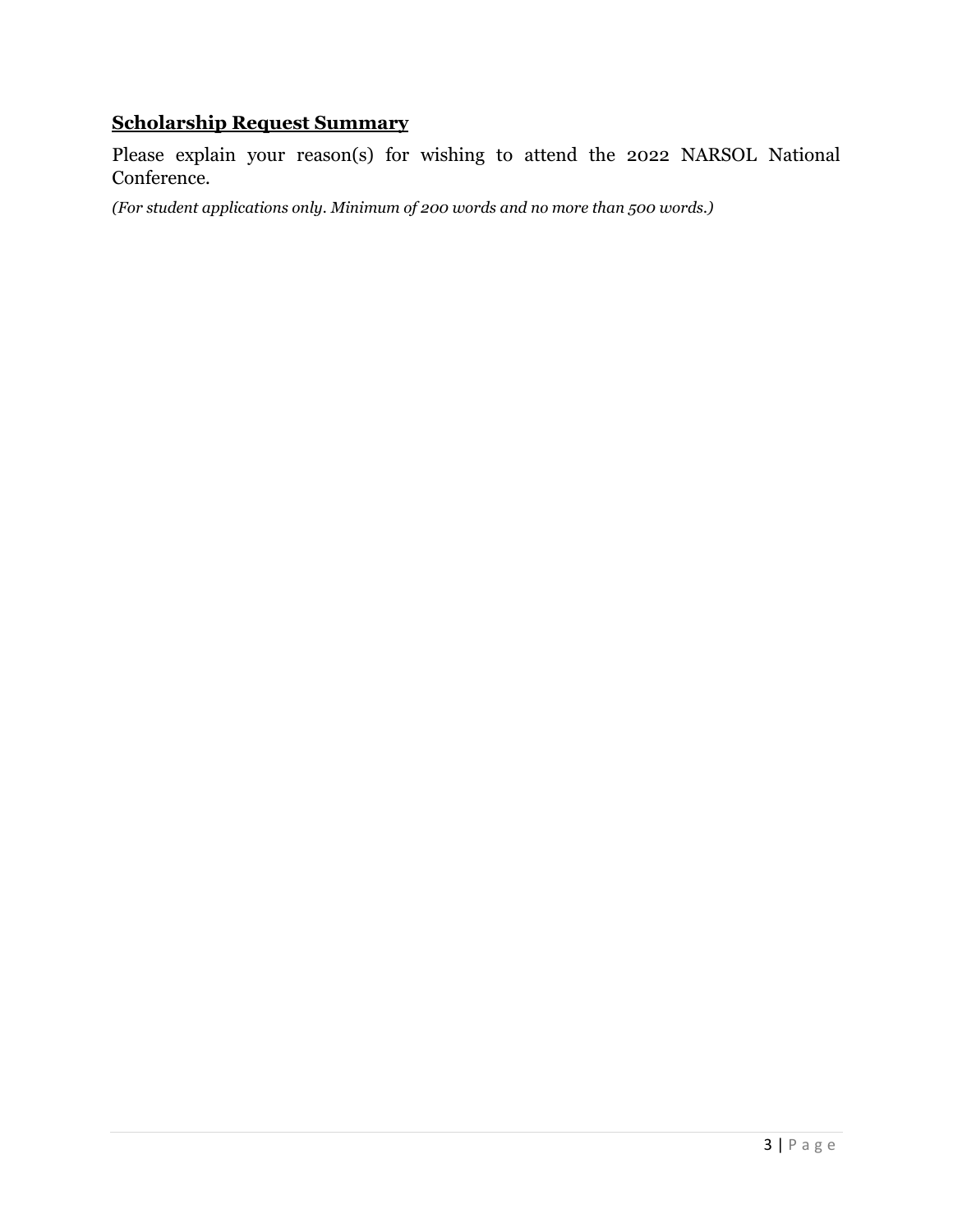# **Scholarship Request Summary**

Please explain your reason(s) for wishing to attend the 2022 NARSOL National Conference.

*(For student applications only. Minimum of 200 words and no more than 500 words.)*